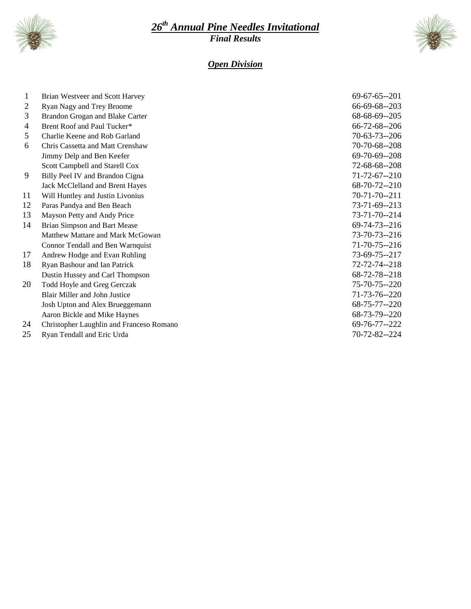

## *th Annual Pine Needles Invitational Final Results*



## *Open Division*

| 1  | Brian Westveer and Scott Harvey          | $69-67-65-201$       |
|----|------------------------------------------|----------------------|
| 2  | Ryan Nagy and Trey Broome                | 66-69-68--203        |
| 3  | Brandon Grogan and Blake Carter          | 68-68-69--205        |
| 4  | Brent Roof and Paul Tucker*              | 66-72-68--206        |
| 5  | Charlie Keene and Rob Garland            | $70-63-73-206$       |
| 6  | Chris Cassetta and Matt Crenshaw         | 70-70-68--208        |
|    | Jimmy Delp and Ben Keefer                | 69-70-69--208        |
|    | Scott Campbell and Starell Cox           | 72-68-68--208        |
| 9  | Billy Peel IV and Brandon Cigna          | $71 - 72 - 67 - 210$ |
|    | Jack McClelland and Brent Hayes          | 68-70-72--210        |
| 11 | Will Huntley and Justin Livonius         | $70 - 71 - 70 - 211$ |
| 12 | Paras Pandya and Ben Beach               | 73-71-69--213        |
| 13 | Mayson Petty and Andy Price              | 73-71-70--214        |
| 14 | Brian Simpson and Bart Mease             | 69-74-73--216        |
|    | Matthew Mattare and Mark McGowan         | $73 - 70 - 73 - 216$ |
|    | Connor Tendall and Ben Warnquist         | $71 - 70 - 75 - 216$ |
| 17 | Andrew Hodge and Evan Ruhling            | 73-69-75--217        |
| 18 | Ryan Bashour and Ian Patrick             | 72-72-74--218        |
|    | Dustin Hussey and Carl Thompson          | 68-72-78--218        |
| 20 | Todd Hoyle and Greg Gerczak              | $75 - 70 - 75 - 220$ |
|    | Blair Miller and John Justice            | 71-73-76--220        |
|    | Josh Upton and Alex Brueggemann          | 68-75-77--220        |
|    | Aaron Bickle and Mike Haynes             | 68-73-79--220        |
| 24 | Christopher Laughlin and Franceso Romano | 69-76-77--222        |

Ryan Tendall and Eric Urda 70-72-82--224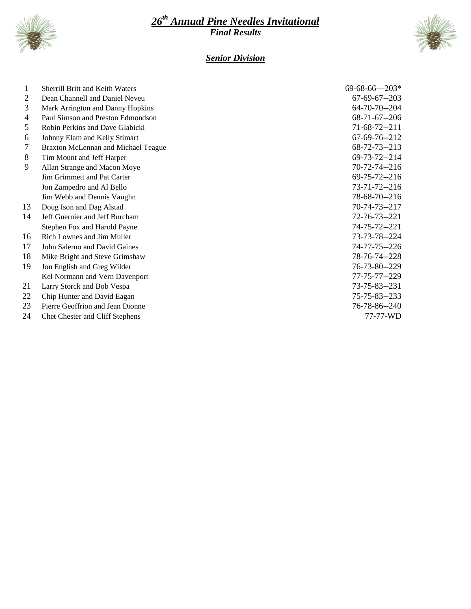

# *th Annual Pine Needles Invitational Final Results*



# *Senior Division*

| 1              | <b>Sherrill Britt and Keith Waters</b> | $69-68-66-203*$      |
|----------------|----------------------------------------|----------------------|
| $\overline{2}$ | Dean Channell and Daniel Neveu         | $67-69-67-203$       |
| 3              | Mark Arrington and Danny Hopkins       | $64 - 70 - 70 - 204$ |
| 4              | Paul Simson and Preston Edmondson      | $68-71-67-206$       |
| 5              | Robin Perkins and Dave Glabicki        | 71-68-72--211        |
| 6              | Johnny Elam and Kelly Stimart          | 67-69-76--212        |
| 7              | Braxton McLennan and Michael Teague    | 68-72-73--213        |
| 8              | Tim Mount and Jeff Harper              | 69-73-72--214        |
| 9              | Allan Strange and Macon Moye           | 70-72-74--216        |
|                | Jim Grimmett and Pat Carter            | $69 - 75 - 72 - 216$ |
|                | Jon Zampedro and Al Bello              | 73-71-72--216        |
|                | Jim Webb and Dennis Vaughn             | 78-68-70--216        |
| 13             | Doug Ison and Dag Alstad               | 70-74-73--217        |
| 14             | Jeff Guernier and Jeff Burcham         | 72-76-73--221        |
|                | Stephen Fox and Harold Payne           | 74-75-72--221        |
| 16             | Rich Lownes and Jim Muller             | 73-73-78--224        |
| 17             | John Salerno and David Gaines          | 74-77-75--226        |
| 18             | Mike Bright and Steve Grimshaw         | 78-76-74--228        |
| 19             | Jon English and Greg Wilder            | 76-73-80--229        |
|                | Kel Normann and Vern Davenport         | 77-75-77--229        |
| 21             | Larry Storck and Bob Vespa             | 73-75-83--231        |
| 22             | Chip Hunter and David Eagan            | 75-75-83--233        |
| 23             | Pierre Geoffrion and Jean Dionne       | 76-78-86--240        |
| 24             | Chet Chester and Cliff Stephens        | 77-77-WD             |